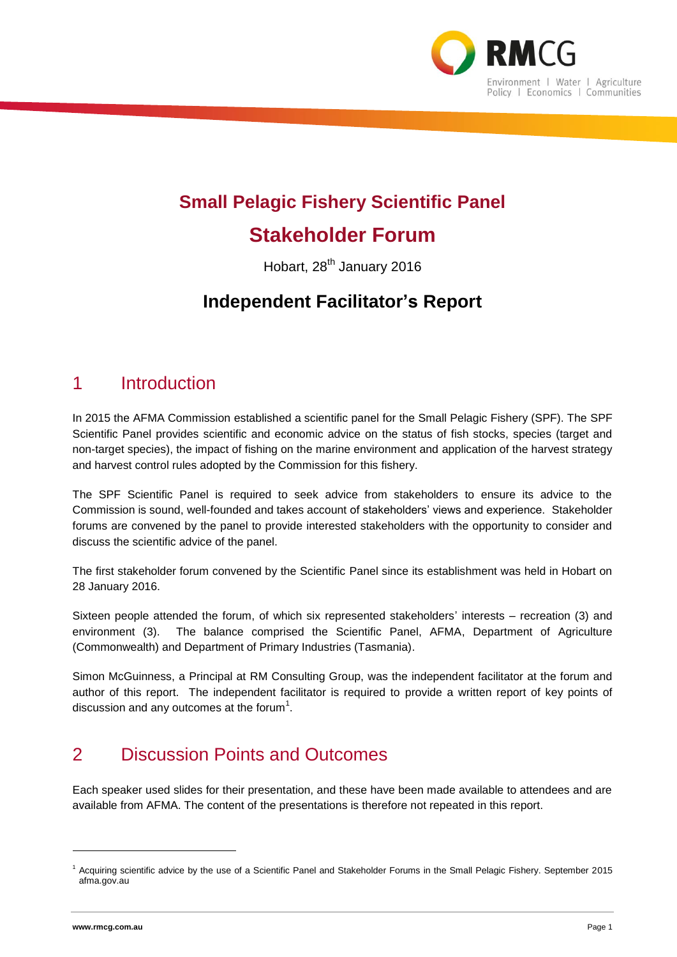

# **Small Pelagic Fishery Scientific Panel**

# **Stakeholder Forum**

Hobart, 28<sup>th</sup> January 2016

## **Independent Facilitator's Report**

## 1 Introduction

In 2015 the AFMA Commission established a scientific panel for the Small Pelagic Fishery (SPF). The SPF Scientific Panel provides scientific and economic advice on the status of fish stocks, species (target and non-target species), the impact of fishing on the marine environment and application of the harvest strategy and harvest control rules adopted by the Commission for this fishery.

The SPF Scientific Panel is required to seek advice from stakeholders to ensure its advice to the Commission is sound, well-founded and takes account of stakeholders' views and experience. Stakeholder forums are convened by the panel to provide interested stakeholders with the opportunity to consider and discuss the scientific advice of the panel.

The first stakeholder forum convened by the Scientific Panel since its establishment was held in Hobart on 28 January 2016.

Sixteen people attended the forum, of which six represented stakeholders' interests – recreation (3) and environment (3). The balance comprised the Scientific Panel, AFMA, Department of Agriculture (Commonwealth) and Department of Primary Industries (Tasmania).

Simon McGuinness, a Principal at RM Consulting Group, was the independent facilitator at the forum and author of this report. The independent facilitator is required to provide a written report of key points of discussion and any outcomes at the forum $^1$ .

## 2 Discussion Points and Outcomes

Each speaker used slides for their presentation, and these have been made available to attendees and are available from AFMA. The content of the presentations is therefore not repeated in this report.

l

<sup>1</sup> Acquiring scientific advice by the use of a Scientific Panel and Stakeholder Forums in the Small Pelagic Fishery. September 2015 afma.gov.au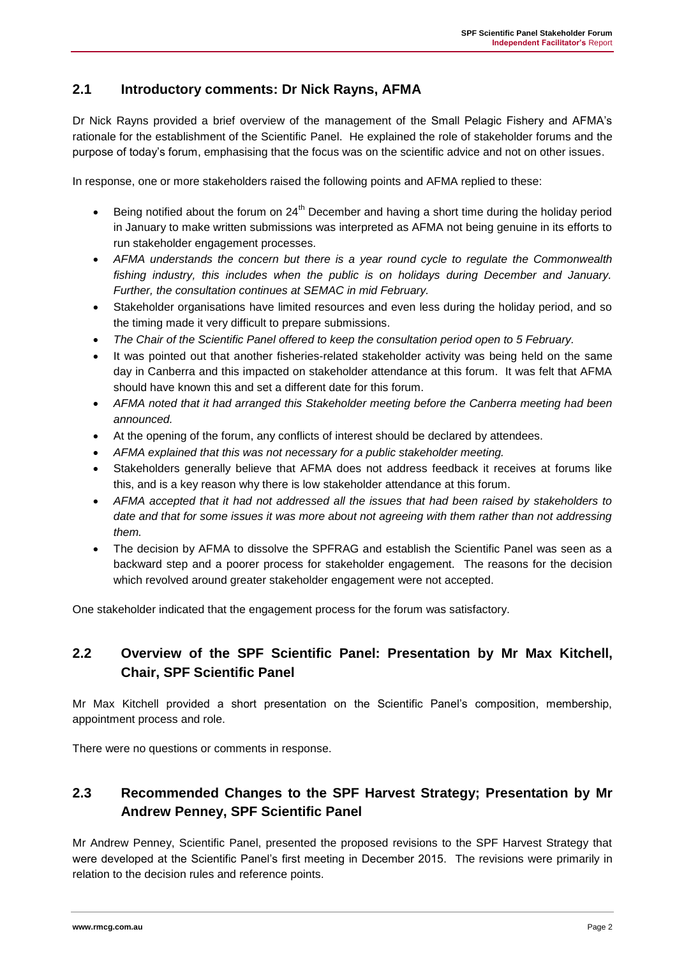#### **2.1 Introductory comments: Dr Nick Rayns, AFMA**

Dr Nick Rayns provided a brief overview of the management of the Small Pelagic Fishery and AFMA's rationale for the establishment of the Scientific Panel. He explained the role of stakeholder forums and the purpose of today's forum, emphasising that the focus was on the scientific advice and not on other issues.

In response, one or more stakeholders raised the following points and AFMA replied to these:

- **Being notified about the forum on 24<sup>th</sup> December and having a short time during the holiday period** in January to make written submissions was interpreted as AFMA not being genuine in its efforts to run stakeholder engagement processes.
- *AFMA understands the concern but there is a year round cycle to regulate the Commonwealth fishing industry, this includes when the public is on holidays during December and January. Further, the consultation continues at SEMAC in mid February.*
- Stakeholder organisations have limited resources and even less during the holiday period, and so the timing made it very difficult to prepare submissions.
- *The Chair of the Scientific Panel offered to keep the consultation period open to 5 February.*
- It was pointed out that another fisheries-related stakeholder activity was being held on the same day in Canberra and this impacted on stakeholder attendance at this forum. It was felt that AFMA should have known this and set a different date for this forum.
- *AFMA noted that it had arranged this Stakeholder meeting before the Canberra meeting had been announced.*
- At the opening of the forum, any conflicts of interest should be declared by attendees.
- *AFMA explained that this was not necessary for a public stakeholder meeting.*
- Stakeholders generally believe that AFMA does not address feedback it receives at forums like this, and is a key reason why there is low stakeholder attendance at this forum.
- *AFMA accepted that it had not addressed all the issues that had been raised by stakeholders to date and that for some issues it was more about not agreeing with them rather than not addressing them.*
- The decision by AFMA to dissolve the SPFRAG and establish the Scientific Panel was seen as a backward step and a poorer process for stakeholder engagement. The reasons for the decision which revolved around greater stakeholder engagement were not accepted.

One stakeholder indicated that the engagement process for the forum was satisfactory.

## **2.2 Overview of the SPF Scientific Panel: Presentation by Mr Max Kitchell, Chair, SPF Scientific Panel**

Mr Max Kitchell provided a short presentation on the Scientific Panel's composition, membership, appointment process and role.

There were no questions or comments in response.

## **2.3 Recommended Changes to the SPF Harvest Strategy; Presentation by Mr Andrew Penney, SPF Scientific Panel**

Mr Andrew Penney, Scientific Panel, presented the proposed revisions to the SPF Harvest Strategy that were developed at the Scientific Panel's first meeting in December 2015. The revisions were primarily in relation to the decision rules and reference points.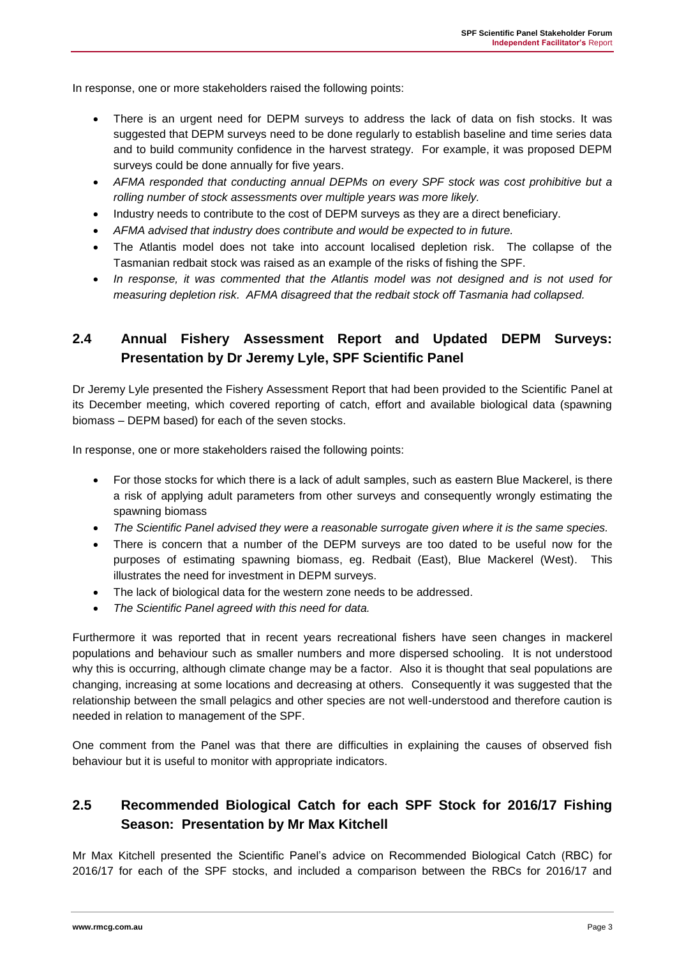In response, one or more stakeholders raised the following points:

- There is an urgent need for DEPM surveys to address the lack of data on fish stocks. It was suggested that DEPM surveys need to be done regularly to establish baseline and time series data and to build community confidence in the harvest strategy. For example, it was proposed DEPM surveys could be done annually for five years.
- *AFMA responded that conducting annual DEPMs on every SPF stock was cost prohibitive but a rolling number of stock assessments over multiple years was more likely.*
- Industry needs to contribute to the cost of DEPM surveys as they are a direct beneficiary.
- *AFMA advised that industry does contribute and would be expected to in future.*
- The Atlantis model does not take into account localised depletion risk. The collapse of the Tasmanian redbait stock was raised as an example of the risks of fishing the SPF.
- *In response, it was commented that the Atlantis model was not designed and is not used for measuring depletion risk. AFMA disagreed that the redbait stock off Tasmania had collapsed.*

## **2.4 Annual Fishery Assessment Report and Updated DEPM Surveys: Presentation by Dr Jeremy Lyle, SPF Scientific Panel**

Dr Jeremy Lyle presented the Fishery Assessment Report that had been provided to the Scientific Panel at its December meeting, which covered reporting of catch, effort and available biological data (spawning biomass – DEPM based) for each of the seven stocks.

In response, one or more stakeholders raised the following points:

- For those stocks for which there is a lack of adult samples, such as eastern Blue Mackerel, is there a risk of applying adult parameters from other surveys and consequently wrongly estimating the spawning biomass
- *The Scientific Panel advised they were a reasonable surrogate given where it is the same species.*
- There is concern that a number of the DEPM surveys are too dated to be useful now for the purposes of estimating spawning biomass, eg. Redbait (East), Blue Mackerel (West). This illustrates the need for investment in DEPM surveys.
- The lack of biological data for the western zone needs to be addressed.
- *The Scientific Panel agreed with this need for data.*

Furthermore it was reported that in recent years recreational fishers have seen changes in mackerel populations and behaviour such as smaller numbers and more dispersed schooling. It is not understood why this is occurring, although climate change may be a factor. Also it is thought that seal populations are changing, increasing at some locations and decreasing at others. Consequently it was suggested that the relationship between the small pelagics and other species are not well-understood and therefore caution is needed in relation to management of the SPF.

One comment from the Panel was that there are difficulties in explaining the causes of observed fish behaviour but it is useful to monitor with appropriate indicators.

## **2.5 Recommended Biological Catch for each SPF Stock for 2016/17 Fishing Season: Presentation by Mr Max Kitchell**

Mr Max Kitchell presented the Scientific Panel's advice on Recommended Biological Catch (RBC) for 2016/17 for each of the SPF stocks, and included a comparison between the RBCs for 2016/17 and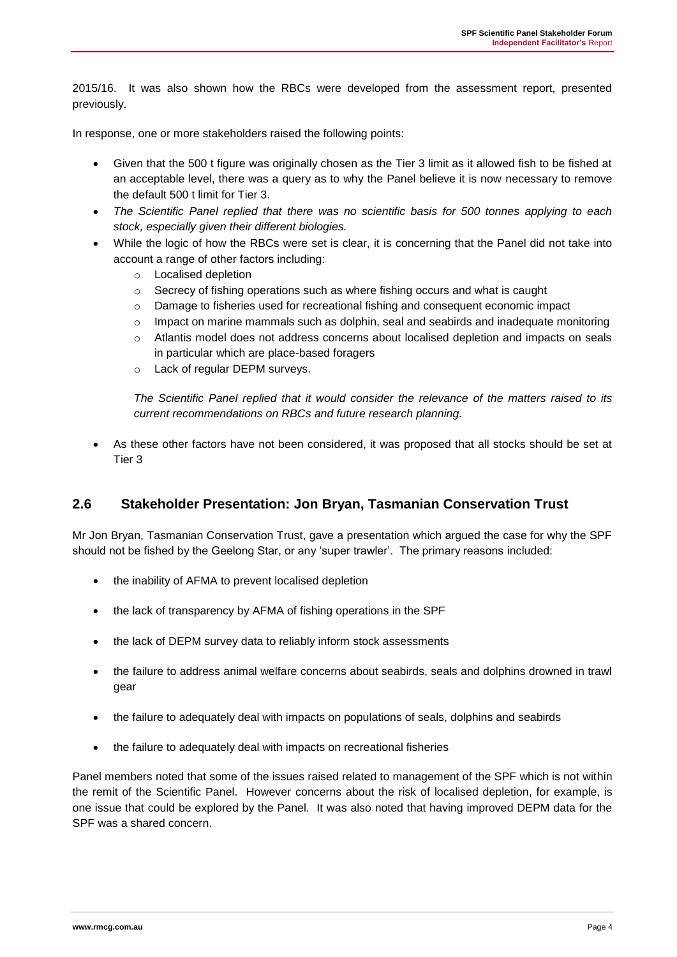2015/16. It was also shown how the RBCs were developed from the assessment report, presented previously.

In response, one or more stakeholders raised the following points:

- Given that the 500 t figure was originally chosen as the Tier 3 limit as it allowed fish to be fished at an acceptable level, there was a query as to why the Panel believe it is now necessary to remove the default 500 t limit for Tier 3.
- *The Scientific Panel replied that there was no scientific basis for 500 tonnes applying to each stock, especially given their different biologies.*
- While the logic of how the RBCs were set is clear, it is concerning that the Panel did not take into account a range of other factors including:
	- o Localised depletion
	- $\circ$  Secrecy of fishing operations such as where fishing occurs and what is caught
	- $\circ$  Damage to fisheries used for recreational fishing and consequent economic impact
	- $\circ$  Impact on marine mammals such as dolphin, seal and seabirds and inadequate monitoring
	- o Atlantis model does not address concerns about localised depletion and impacts on seals in particular which are place-based foragers
	- o Lack of regular DEPM surveys.

*The Scientific Panel replied that it would consider the relevance of the matters raised to its current recommendations on RBCs and future research planning.*

 As these other factors have not been considered, it was proposed that all stocks should be set at Tier 3

#### **2.6 Stakeholder Presentation: Jon Bryan, Tasmanian Conservation Trust**

Mr Jon Bryan, Tasmanian Conservation Trust, gave a presentation which argued the case for why the SPF should not be fished by the Geelong Star, or any 'super trawler'. The primary reasons included:

- the inability of AFMA to prevent localised depletion
- the lack of transparency by AFMA of fishing operations in the SPF
- the lack of DEPM survey data to reliably inform stock assessments
- the failure to address animal welfare concerns about seabirds, seals and dolphins drowned in trawl gear
- the failure to adequately deal with impacts on populations of seals, dolphins and seabirds
- the failure to adequately deal with impacts on recreational fisheries

Panel members noted that some of the issues raised related to management of the SPF which is not within the remit of the Scientific Panel. However concerns about the risk of localised depletion, for example, is one issue that could be explored by the Panel. It was also noted that having improved DEPM data for the SPF was a shared concern.